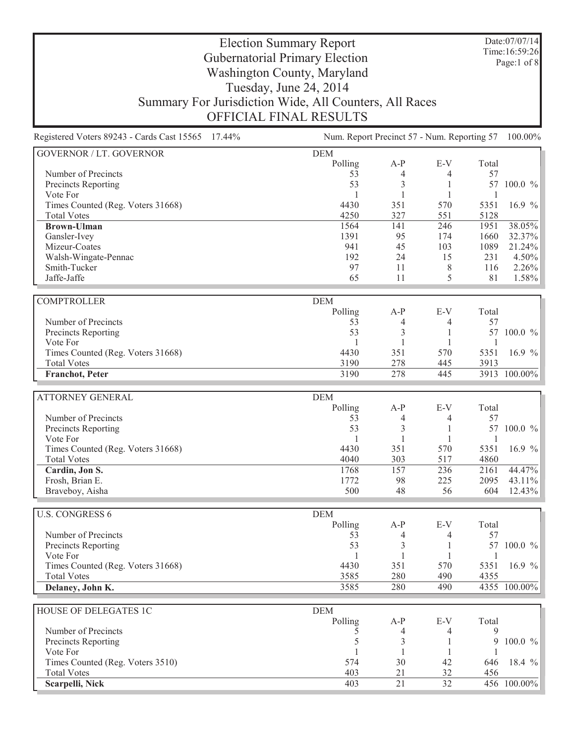Date:07/07/14 Time:16:59:26 Page:1 of 8

| Registered Voters 89243 - Cards Cast 15565 17.44%       | Num. Report Precinct 57 - Num. Reporting 57 |                |              |              | 100.00%          |  |
|---------------------------------------------------------|---------------------------------------------|----------------|--------------|--------------|------------------|--|
| <b>GOVERNOR / LT. GOVERNOR</b>                          | <b>DEM</b>                                  |                |              |              |                  |  |
|                                                         | Polling                                     | $A-P$          | E-V          | Total        |                  |  |
| Number of Precincts                                     | 53                                          | 4              | 4            | 57           |                  |  |
| Precincts Reporting                                     | 53                                          | 3              | 1            |              | 57 100.0 %       |  |
| Vote For                                                | 1                                           |                | 1            | 1            |                  |  |
| Times Counted (Reg. Voters 31668)                       | 4430                                        | 351            | 570          | 5351         | 16.9 $%$         |  |
| <b>Total Votes</b>                                      | 4250                                        | 327            | 551          | 5128         |                  |  |
| <b>Brown-Ulman</b>                                      | 1564                                        | 141            | 246          | 1951         | 38.05%           |  |
| Gansler-Ivey<br>Mizeur-Coates                           | 1391<br>941                                 | 95<br>45       | 174<br>103   | 1660<br>1089 | 32.37%<br>21.24% |  |
| Walsh-Wingate-Pennac                                    | 192                                         | 24             | 15           | 231          | 4.50%            |  |
| Smith-Tucker                                            | 97                                          | 11             | 8            | 116          | 2.26%            |  |
| Jaffe-Jaffe                                             | 65                                          | 11             | 5            | 81           | 1.58%            |  |
|                                                         |                                             |                |              |              |                  |  |
| <b>COMPTROLLER</b>                                      | <b>DEM</b>                                  |                |              |              |                  |  |
|                                                         | Polling                                     | $A-P$          | E-V          | Total        |                  |  |
| Number of Precincts                                     | 53                                          | 4              | 4            | 57           |                  |  |
| Precincts Reporting                                     | 53                                          | 3              | 1            |              | 57 100.0 %       |  |
| Vote For                                                | 1                                           | 1              | 1            | 1            |                  |  |
| Times Counted (Reg. Voters 31668)                       | 4430                                        | 351            | 570          | 5351         | 16.9 $%$         |  |
| <b>Total Votes</b>                                      | 3190                                        | 278            | 445          | 3913         |                  |  |
| <b>Franchot</b> , Peter                                 | 3190                                        | 278            | 445          |              | 3913 100.00%     |  |
|                                                         |                                             |                |              |              |                  |  |
| <b>ATTORNEY GENERAL</b>                                 | <b>DEM</b><br>Polling                       | $A-P$          | E-V          | Total        |                  |  |
| Number of Precincts                                     | 53                                          | 4              | 4            | 57           |                  |  |
| Precincts Reporting                                     | 53                                          | 3              | 1            |              | 57 100.0 %       |  |
| Vote For                                                | $\mathbf{1}$                                | $\mathbf{1}$   | $\mathbf{1}$ | 1            |                  |  |
| Times Counted (Reg. Voters 31668)                       | 4430                                        | 351            | 570          | 5351         | 16.9 $%$         |  |
| <b>Total Votes</b>                                      | 4040                                        | 303            | 517          | 4860         |                  |  |
| Cardin, Jon S.                                          | 1768                                        | 157            | 236          | 2161         | 44.47%           |  |
| Frosh, Brian E.                                         | 1772                                        | 98             | 225          | 2095         | 43.11%           |  |
| Braveboy, Aisha                                         | 500                                         | 48             | 56           | 604          | 12.43%           |  |
|                                                         |                                             |                |              |              |                  |  |
| <b>U.S. CONGRESS 6</b>                                  | <b>DEM</b>                                  |                |              |              |                  |  |
|                                                         | Polling                                     | $A-P$          | E-V          | Total        |                  |  |
| Number of Precincts                                     | 53                                          | 4              | 4            | 57           |                  |  |
| Precincts Reporting                                     | 53                                          | 3              | 1            |              | 57 100.0 %       |  |
| Vote For                                                | 1<br>4430                                   | 1<br>351       | 1<br>570     | 1<br>5351    |                  |  |
| Times Counted (Reg. Voters 31668)<br><b>Total Votes</b> | 3585                                        | 280            | 490          | 4355         | 16.9 $%$         |  |
| Delaney, John K.                                        | 3585                                        | 280            | 490          |              | 4355 100.00%     |  |
|                                                         |                                             |                |              |              |                  |  |
| HOUSE OF DELEGATES 1C                                   | <b>DEM</b>                                  |                |              |              |                  |  |
|                                                         | Polling                                     | $A-P$          | E-V          | Total        |                  |  |
| Number of Precincts                                     | 5                                           | 4              | 4            | 9            |                  |  |
| Precincts Reporting                                     | 5                                           | $\mathfrak{Z}$ | 1            | 9            | 100.0 %          |  |
| Vote For                                                |                                             |                | 1            |              |                  |  |
| Times Counted (Reg. Voters 3510)                        | 574                                         | 30             | 42           | 646          | 18.4 %           |  |
| <b>Total Votes</b>                                      | 403                                         | 21             | 32           | 456          |                  |  |
| Scarpelli, Nick                                         | 403                                         | 21             | 32           |              | 456 100.00%      |  |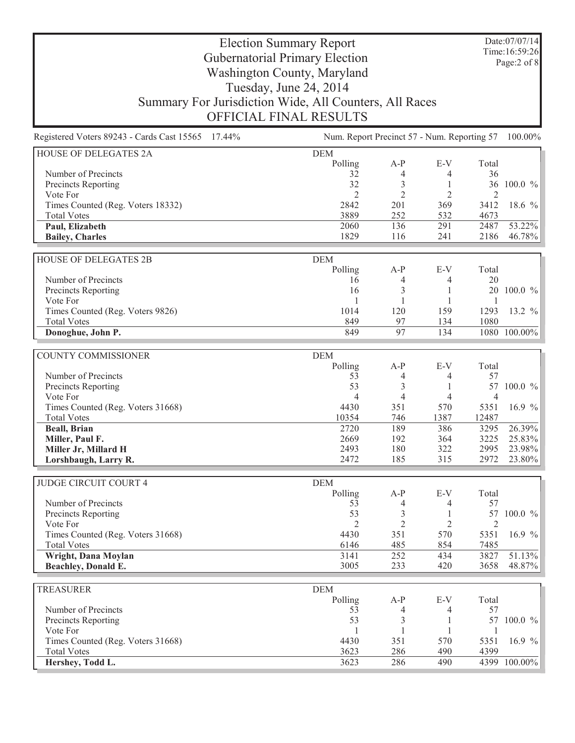Date:07/07/14 Time:16:59:26 Page:2 of 8

| Registered Voters 89243 - Cards Cast 15565 17.44% | Num. Report Precinct 57 - Num. Reporting 57 100.00% |                |                |                |              |
|---------------------------------------------------|-----------------------------------------------------|----------------|----------------|----------------|--------------|
| HOUSE OF DELEGATES 2A                             | <b>DEM</b>                                          |                |                |                |              |
|                                                   | Polling                                             | $A-P$          | $E-V$          | Total          |              |
| Number of Precincts                               | 32                                                  | 4              | 4              | 36             |              |
| Precincts Reporting                               | 32                                                  | 3              | 1              |                | 36 100.0 %   |
| Vote For                                          | $\mathfrak{2}$                                      | $\overline{2}$ | 2              | $\overline{2}$ |              |
| Times Counted (Reg. Voters 18332)                 | 2842                                                | 201            | 369            | 3412           | 18.6 %       |
| <b>Total Votes</b>                                | 3889                                                | 252            | 532            | 4673           |              |
| Paul, Elizabeth                                   | 2060                                                | 136            | 291            | 2487           | 53.22%       |
| <b>Bailey, Charles</b>                            | 1829                                                | 116            | 241            | 2186           | 46.78%       |
| HOUSE OF DELEGATES 2B                             | <b>DEM</b>                                          |                |                |                |              |
|                                                   | Polling                                             | $A-P$          | E-V            | Total          |              |
| Number of Precincts                               | 16                                                  | 4              | 4              | 20             |              |
| Precincts Reporting                               | 16                                                  | 3              | 1              | 20             | $100.0 \%$   |
| Vote For                                          | 1                                                   | 1              |                | $\mathbf{1}$   |              |
| Times Counted (Reg. Voters 9826)                  | 1014                                                | 120            | 159            | 1293           | 13.2 %       |
| <b>Total Votes</b>                                | 849                                                 | 97             | 134            | 1080           |              |
| Donoghue, John P.                                 | 849                                                 | 97             | 134            |                | 1080 100.00% |
|                                                   |                                                     |                |                |                |              |
| <b>COUNTY COMMISSIONER</b>                        | <b>DEM</b>                                          |                |                |                |              |
|                                                   | Polling                                             | $A-P$          | $E-V$          | Total          |              |
| Number of Precincts                               | 53                                                  | 4              | 4              | 57             |              |
| Precincts Reporting                               | 53                                                  | 3              | 1              |                | 57 100.0 %   |
| Vote For                                          | $\overline{4}$                                      | $\overline{4}$ | $\overline{4}$ | $\overline{4}$ |              |
| Times Counted (Reg. Voters 31668)                 | 4430                                                | 351            | 570            | 5351           | 16.9 $%$     |
| <b>Total Votes</b>                                | 10354                                               | 746            | 1387           | 12487          |              |
| <b>Beall, Brian</b>                               | 2720                                                | 189            | 386            | 3295           | 26.39%       |
| Miller, Paul F.                                   | 2669                                                | 192            | 364            | 3225           | 25.83%       |
| Miller Jr, Millard H                              | 2493                                                | 180            | 322            | 2995           | 23.98%       |
| Lorshbaugh, Larry R.                              | 2472                                                | 185            | 315            | 2972           | 23.80%       |
| <b>JUDGE CIRCUIT COURT 4</b>                      | <b>DEM</b>                                          |                |                |                |              |
|                                                   | Polling                                             | $A-P$          | $E-V$          | Total          |              |
| Number of Precincts                               | 53                                                  | 4              | 4              | 57             |              |
| Precincts Reporting                               | 53                                                  | 3              | 1              | 57             | 100.0 %      |
| Vote For                                          | $\overline{2}$                                      | $\overline{2}$ | 2              | $\overline{2}$ |              |
| Times Counted (Reg. Voters 31668)                 | 4430                                                | 351            | 570            | 5351           | 16.9 $%$     |
| <b>Total Votes</b>                                | 6146                                                | 485            | 854            | 7485           |              |
| Wright, Dana Moylan                               | 3141                                                | 252            | 434            | 3827           | 51.13%       |
| Beachley, Donald E.                               | 3005                                                | 233            | 420            | 3658           | 48.87%       |
| TREASURER                                         | <b>DEM</b>                                          |                |                |                |              |
|                                                   | Polling                                             | $A-P$          | $E-V$          | Total          |              |
| Number of Precincts                               | 53                                                  | 4              | 4              | 57             |              |
| Precincts Reporting                               | 53                                                  | 3              | 1              |                | 57 100.0 %   |
| Vote For                                          | 1                                                   | 1              |                |                |              |
| Times Counted (Reg. Voters 31668)                 | 4430                                                | 351            | 570            | 5351           | 16.9 $%$     |
| <b>Total Votes</b>                                | 3623                                                | 286            | 490            | 4399           |              |
| Hershey, Todd L.                                  | 3623                                                | 286            | 490            |                | 4399 100.00% |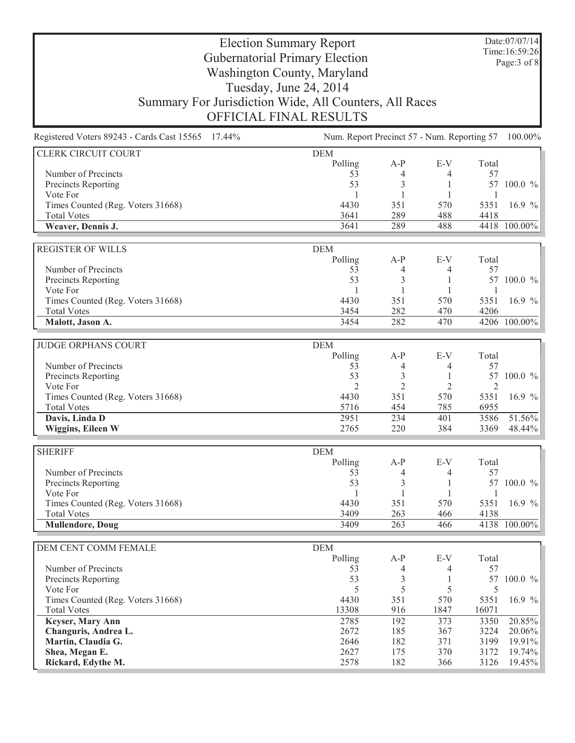Date:07/07/14 Time:16:59:26 Page:3 of 8

| Registered Voters 89243 - Cards Cast 15565 17.44%       |                       | Num. Report Precinct 57 - Num. Reporting 57 100.00% |            |                |              |
|---------------------------------------------------------|-----------------------|-----------------------------------------------------|------------|----------------|--------------|
| <b>CLERK CIRCUIT COURT</b>                              | <b>DEM</b>            |                                                     |            |                |              |
|                                                         | Polling               | $A-P$                                               | $E-V$      | Total          |              |
| Number of Precincts                                     | 53                    | 4                                                   | 4          | 57             |              |
| Precincts Reporting                                     | 53                    | 3                                                   | 1          | 57             | $100.0 \%$   |
| Vote For                                                | 1                     | 1                                                   | 1          | 1              |              |
| Times Counted (Reg. Voters 31668)                       | 4430                  | 351                                                 | 570        | 5351           | 16.9 $%$     |
| <b>Total Votes</b>                                      | 3641                  | 289                                                 | 488        | 4418           |              |
| Weaver, Dennis J.                                       | 3641                  | 289                                                 | 488        |                | 4418 100.00% |
|                                                         |                       |                                                     |            |                |              |
| <b>REGISTER OF WILLS</b>                                | <b>DEM</b><br>Polling | $A-P$                                               | $E-V$      | Total          |              |
| Number of Precincts                                     | 53                    |                                                     | 4          | 57             |              |
| Precincts Reporting                                     | 53                    | 4<br>3                                              | 1          | 57             | $100.0 \%$   |
| Vote For                                                | 1                     | 1                                                   | 1          | 1              |              |
| Times Counted (Reg. Voters 31668)                       | 4430                  | 351                                                 | 570        | 5351           | 16.9 $%$     |
| <b>Total Votes</b>                                      | 3454                  | 282                                                 | 470        | 4206           |              |
| Malott, Jason A.                                        | 3454                  | 282                                                 | 470        |                | 4206 100.00% |
|                                                         |                       |                                                     |            |                |              |
| <b>JUDGE ORPHANS COURT</b>                              | <b>DEM</b>            |                                                     |            |                |              |
|                                                         | Polling               | $A-P$                                               | $E-V$      | Total          |              |
| Number of Precincts                                     | 53                    | 4                                                   | 4          | 57             |              |
| Precincts Reporting                                     | 53                    | 3                                                   | 1          | 57             | 100.0 %      |
| Vote For                                                | $\overline{2}$        | $\overline{2}$                                      | 2          | $\overline{2}$ |              |
| Times Counted (Reg. Voters 31668)                       | 4430                  | 351                                                 | 570        | 5351           | 16.9 $%$     |
| <b>Total Votes</b>                                      | 5716                  | 454                                                 | 785        | 6955           |              |
| Davis, Linda D                                          | 2951                  | 234                                                 | 401        | 3586           | 51.56%       |
| Wiggins, Eileen W                                       | 2765                  | 220                                                 | 384        | 3369           | 48.44%       |
|                                                         |                       |                                                     |            |                |              |
| <b>SHERIFF</b>                                          | <b>DEM</b>            |                                                     |            |                |              |
|                                                         | Polling               | $A-P$                                               | $E-V$      | Total          |              |
| Number of Precincts                                     | 53                    | 4                                                   | 4          | 57             |              |
| Precincts Reporting                                     | 53                    | 3                                                   | 1          | 57             | 100.0 %      |
| Vote For                                                | $\mathbf{1}$          | 1                                                   | 1          | $\mathbf{1}$   |              |
| Times Counted (Reg. Voters 31668)<br><b>Total Votes</b> | 4430<br>3409          | 351<br>263                                          | 570<br>466 | 5351           | 16.9 $%$     |
| <b>Mullendore, Doug</b>                                 | 3409                  | 263                                                 | 466        | 4138           | 4138 100.00% |
|                                                         |                       |                                                     |            |                |              |
| DEM CENT COMM FEMALE                                    | <b>DEM</b>            |                                                     |            |                |              |
|                                                         | Polling               | $A-P$                                               | E-V        | Total          |              |
| Number of Precincts                                     | 53                    | $\overline{4}$                                      | 4          | 57             |              |
| Precincts Reporting                                     | 53                    | $\mathfrak{Z}$                                      | 1          | 57             | $100.0 \%$   |
| Vote For                                                | 5                     | 5                                                   | 5          | 5              |              |
| Times Counted (Reg. Voters 31668)                       | 4430                  | 351                                                 | 570        | 5351           | 16.9 $%$     |
| <b>Total Votes</b>                                      | 13308                 | 916                                                 | 1847       | 16071          |              |
| Keyser, Mary Ann                                        | 2785                  | 192                                                 | 373        | 3350           | 20.85%       |
| Changuris, Andrea L.                                    | 2672                  | 185                                                 | 367        | 3224           | 20.06%       |
| Martin, Claudia G.                                      | 2646                  | 182                                                 | 371        | 3199           | 19.91%       |
| Shea, Megan E.                                          | 2627                  | 175                                                 | 370        | 3172           | 19.74%       |
| Rickard, Edythe M.                                      | 2578                  | 182                                                 | 366        | 3126           | 19.45%       |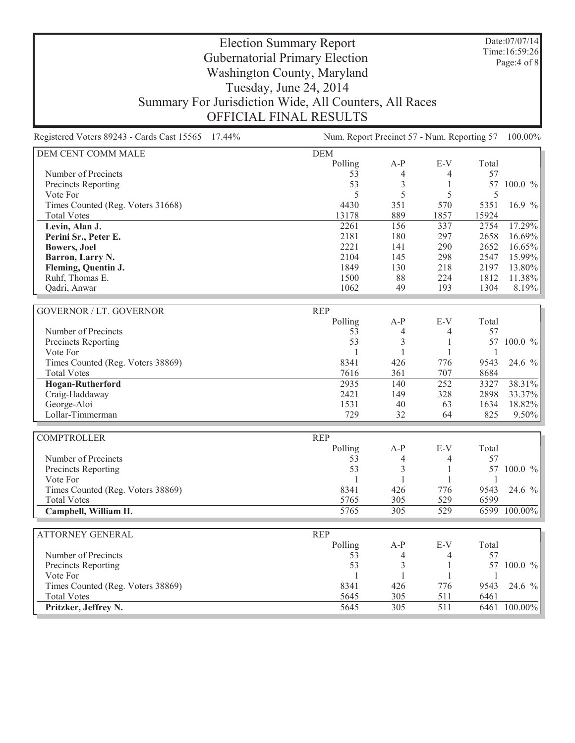Date:07/07/14 Time:16:59:26 Page:4 of 8

#### Election Summary Report Gubernatorial Primary Election Washington County, Maryland Tuesday, June 24, 2014 Summary For Jurisdiction Wide, All Counters, All Races OFFICIAL FINAL RESULTS

Registered Voters 89243 - Cards Cast 15565 17.44% Num. Report Precinct 57 - Num. Reporting 57 100.00% DEM CENT COMM MALE DEM Polling A-P E-V Total Number of Precincts 53 4 4 57 Precincts Reporting 63 3 1 57 100.0 % Vote For  $5 \t 5 \t 5 \t 5 \t 5$ Times Counted (Reg. Voters 31668) 4430 351 570 5351 16.9 % Total Votes 13178 889 1857 15924 **Levin, Alan J.** 2261 156 337 2754 17.29%<br> **Perini Sr., Peter E.** 2181 180 297 2658 16.69% **Perini Sr., Peter E.** 2181 180 297 2658<br> **Bowers, Joel** 20221 141 290 2652 **Bowers, Joel** 200 2652 16.65% **Barron, Larry N.** 2104 145 298 2547 15.99%<br> **Fleming, Ouentin J.** 2002 218 2197 13.80% **Fleming, Quentin J.**<br> **Ruhf**, Thomas E.<br> **Ruhf**, Thomas E.<br> **Planting**,  $\begin{bmatrix} 1849 \\ 1500 \end{bmatrix}$ <br> **Ruhf**, Thomas E.<br> **Planting**,  $\begin{bmatrix} 218 \\ 224 \end{bmatrix}$ <br> **Planting**,  $\begin{bmatrix} 218 \\ 2197 \end{bmatrix}$ <br> **Planting**,  $\begin{bmatrix} 13896 \\ 2$ Ruhf, Thomas E. 1500 88 224 1812 11.38% Qadri, Anwar 1062 49 193 1304 8.19% GOVERNOR / LT. GOVERNOR REP Polling A-P E-V Total Number of Precincts 653 4 57 Precincts Reporting 53 3 1 57 100.0 % Vote For 1 1 1 1 Times Counted (Reg. Voters 38869) 8341 426 776 9543 24.6 %<br>Total Votes 884 7616 361 707 8684 Total Votes 8684 707 8684 **Hogan-Rutherford** 2935 140 252 3327 38.31% Craig-Haddaway 2421 149 328 2898 33.37% George-Aloi 1531 40 63 1634 18.82% Lollar-Timmerman 229 32 64 825 9.50% COMPTROLLER REP Polling A-P E-V Total<br>53 4 4 57 Number of Precincts<br>
Precincts Reporting<br>
S3 4 4 57<br>  $\frac{4}{3}$  1 57 100.0 % Precincts Reporting Vote For 1 1 1 1 Times Counted (Reg. Voters 38869) 8341 426 776 9543 24.6 % Total Votes 6599 529 6599 **Campbell, William H.** 5765 529 6599 100.00% ATTORNEY GENERAL REP Polling A-P E-V Total Number of Precincts 653 4 57 Precincts Reporting 1990 100.0 % 1 53 3 1 57 100.0 % Vote For 1 1 1 1 Times Counted (Reg. Voters 38869) 8341 426 776 9543 24.6 % Total Votes 5645 305 511 6461 **Pritzker, Jeffrey N.** 5645 5645 505 511 6461 100.00%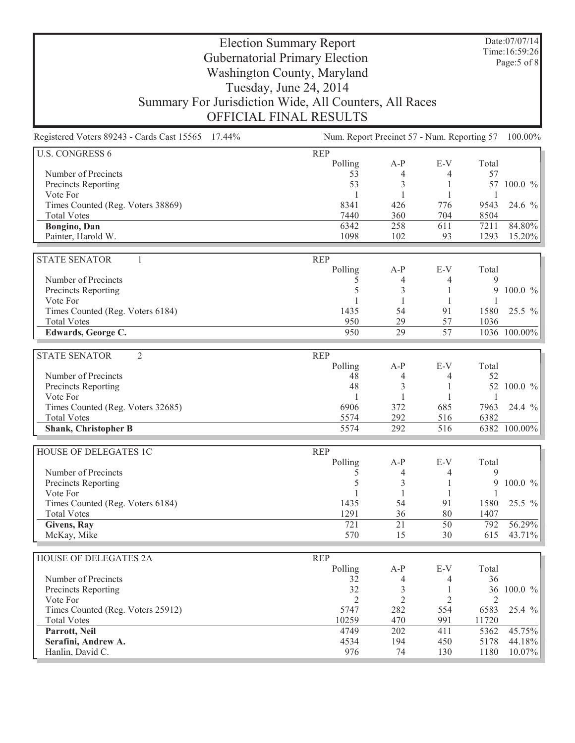Date:07/07/14 Time:16:59:26 Page:5 of 8

| Num. Report Precinct 57 - Num. Reporting 57 100.00%<br>Registered Voters 89243 - Cards Cast 15565 17.44% |                |                |                |                |              |
|----------------------------------------------------------------------------------------------------------|----------------|----------------|----------------|----------------|--------------|
| <b>U.S. CONGRESS 6</b>                                                                                   | <b>REP</b>     |                |                |                |              |
|                                                                                                          | Polling        | $A-P$          | $E-V$          | Total          |              |
| Number of Precincts                                                                                      | 53             | 4              | 4              | 57             |              |
| <b>Precincts Reporting</b>                                                                               | 53             | 3              | 1              |                | 57 100.0 %   |
| Vote For                                                                                                 | $\mathbf{1}$   | 1              | 1              | 1              |              |
| Times Counted (Reg. Voters 38869)                                                                        | 8341           | 426            | 776            | 9543           | 24.6 %       |
| <b>Total Votes</b>                                                                                       | 7440           | 360            | 704            | 8504           |              |
| Bongino, Dan                                                                                             | 6342           | 258            | 611            | 7211           | 84.80%       |
| Painter, Harold W.                                                                                       | 1098           | 102            | 93             | 1293           | 15.20%       |
| <b>STATE SENATOR</b><br>$\mathbf{1}$                                                                     | <b>REP</b>     |                |                |                |              |
|                                                                                                          | Polling        | $A-P$          | $E-V$          | Total          |              |
| Number of Precincts                                                                                      | 5              | 4              | 4              | 9              |              |
| Precincts Reporting                                                                                      | 5              | 3              | 1              | 9              | 100.0 %      |
| Vote For                                                                                                 |                | 1              |                |                |              |
| Times Counted (Reg. Voters 6184)                                                                         | 1435           | 54             | 91             | 1580           | 25.5 %       |
| <b>Total Votes</b>                                                                                       | 950            | 29             | 57             | 1036           |              |
| Edwards, George C.                                                                                       | 950            | 29             | 57             |                | 1036 100.00% |
|                                                                                                          |                |                |                |                |              |
| $\overline{2}$<br><b>STATE SENATOR</b>                                                                   | <b>REP</b>     |                |                |                |              |
|                                                                                                          | Polling        | $A-P$          | E-V            | Total          |              |
| Number of Precincts                                                                                      | 48             | 4              | 4              | 52             |              |
| Precincts Reporting                                                                                      | 48             | 3              | 1              | 52             | 100.0 %      |
| Vote For                                                                                                 | $\mathbf{1}$   | 1              |                | $\overline{1}$ |              |
| Times Counted (Reg. Voters 32685)                                                                        | 6906           | 372            | 685            | 7963           | 24.4 %       |
| <b>Total Votes</b>                                                                                       | 5574           | 292            | 516            | 6382           |              |
| <b>Shank, Christopher B</b>                                                                              | 5574           | 292            | 516            |                | 6382 100.00% |
| HOUSE OF DELEGATES 1C                                                                                    | <b>REP</b>     |                |                |                |              |
|                                                                                                          | Polling        | $A-P$          | E-V            | Total          |              |
| Number of Precincts                                                                                      | 5              | 4              | 4              | 9              |              |
| Precincts Reporting                                                                                      | 5              | 3              |                | 9              | 100.0 %      |
| Vote For                                                                                                 |                | 1              |                |                |              |
| Times Counted (Reg. Voters 6184)                                                                         | 1435           | 54             | 91             | 1580           | 25.5 %       |
| <b>Total Votes</b>                                                                                       | 1291           | 36             | 80             | 1407           |              |
| Givens, Ray                                                                                              | 721            | 21             | 50             | 792            | 56.29%       |
| McKay, Mike                                                                                              | 570            | 15             | 30             | 615            | 43.71%       |
|                                                                                                          |                |                |                |                |              |
| HOUSE OF DELEGATES 2A                                                                                    | <b>REP</b>     |                |                |                |              |
|                                                                                                          | Polling        | $A-P$          | E-V            | Total          |              |
| Number of Precincts                                                                                      | 32             | 4              | 4              | 36             |              |
| Precincts Reporting                                                                                      | 32             | $\mathfrak{Z}$ | 1              |                | 36 100.0 %   |
| Vote For                                                                                                 | $\overline{2}$ | $\overline{2}$ | $\mathfrak{2}$ | 2              |              |
| Times Counted (Reg. Voters 25912)                                                                        | 5747           | 282            | 554            | 6583           | 25.4 %       |
| <b>Total Votes</b>                                                                                       | 10259          | 470            | 991            | 11720          |              |
| Parrott, Neil                                                                                            | 4749           | 202            | 411            | 5362           | 45.75%       |
| Serafini, Andrew A.                                                                                      | 4534           | 194            | 450            | 5178           | 44.18%       |
| Hanlin, David C.                                                                                         | 976            | 74             | 130            | 1180           | 10.07%       |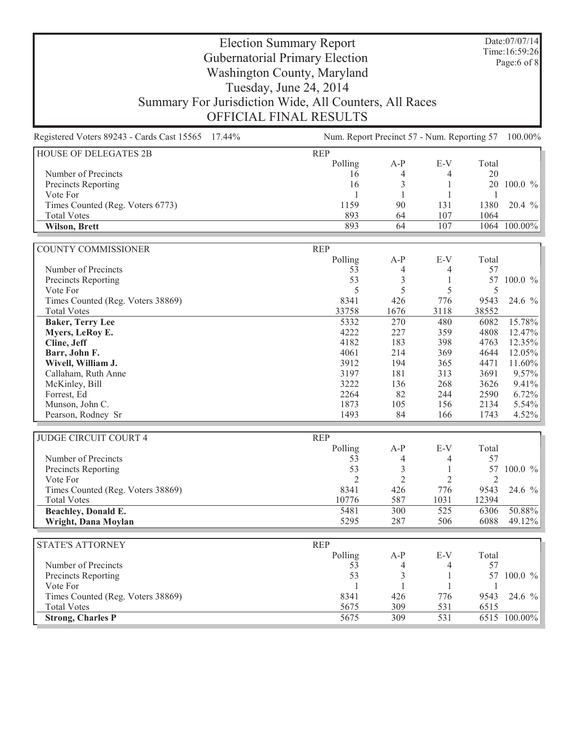Date:07/07/14 Time:16:59:26 Page:6 of 8

| Registered Voters 89243 - Cards Cast 15565 17.44%<br>Num. Report Precinct 57 - Num. Reporting 57 |                |                |                |                | 100.00%      |
|--------------------------------------------------------------------------------------------------|----------------|----------------|----------------|----------------|--------------|
| <b>HOUSE OF DELEGATES 2B</b>                                                                     | <b>REP</b>     |                |                |                |              |
|                                                                                                  | Polling        | $A-P$          | $E-V$          | Total          |              |
| Number of Precincts                                                                              | 16             | $\overline{4}$ | 4              | 20             |              |
| Precincts Reporting                                                                              | 16             | 3              | 1              |                | 20 100.0 %   |
| Vote For                                                                                         | 1              | 1              | 1              | $\overline{1}$ |              |
| Times Counted (Reg. Voters 6773)                                                                 | 1159           | 90             | 131            | 1380           | $20.4\%$     |
| <b>Total Votes</b>                                                                               | 893            | 64             | 107            | 1064           |              |
| Wilson, Brett                                                                                    | 893            | 64             | 107            |                | 1064 100.00% |
| <b>COUNTY COMMISSIONER</b>                                                                       | <b>REP</b>     |                |                |                |              |
|                                                                                                  | Polling        | $A-P$          | E-V            | Total          |              |
| Number of Precincts                                                                              | 53             | 4              | 4              | 57             |              |
| Precincts Reporting                                                                              | 53             | 3              | 1              | 57             | $100.0 \%$   |
| Vote For                                                                                         | 5              | 5              | 5              | 5              |              |
| Times Counted (Reg. Voters 38869)                                                                | 8341           | 426            | 776            | 9543           | 24.6 %       |
| <b>Total Votes</b>                                                                               | 33758          | 1676           | 3118           | 38552          |              |
| <b>Baker, Terry Lee</b>                                                                          | 5332           | 270            | 480            | 6082           | 15.78%       |
| Myers, LeRoy E.                                                                                  | 4222           | 227            | 359            | 4808           | 12.47%       |
| Cline, Jeff                                                                                      | 4182           | 183            | 398            | 4763           | 12.35%       |
| Barr, John F.                                                                                    | 4061           | 214            | 369            | 4644           | 12.05%       |
| Wivell, William J.                                                                               | 3912           | 194            | 365            | 4471           | 11.60%       |
| Callaham, Ruth Anne                                                                              | 3197           | 181            | 313            | 3691           | 9.57%        |
| McKinley, Bill                                                                                   | 3222           | 136            | 268            | 3626           | 9.41%        |
| Forrest, Ed                                                                                      | 2264           | 82             | 244            | 2590           | 6.72%        |
| Munson, John C.                                                                                  | 1873           | 105            | 156            | 2134           | 5.54%        |
| Pearson, Rodney Sr                                                                               | 1493           | 84             | 166            | 1743           | 4.52%        |
| <b>JUDGE CIRCUIT COURT 4</b>                                                                     | <b>REP</b>     |                |                |                |              |
|                                                                                                  | Polling        | $A-P$          | E-V            | Total          |              |
| Number of Precincts                                                                              | 53             | 4              | 4              | 57             |              |
| Precincts Reporting                                                                              | 53             | 3              | 1              | 57             | $100.0 \%$   |
| Vote For                                                                                         | $\overline{2}$ | $\overline{2}$ | $\overline{2}$ | $\overline{2}$ |              |
| Times Counted (Reg. Voters 38869)                                                                | 8341           | 426            | 776            | 9543           | 24.6 %       |
| <b>Total Votes</b>                                                                               | 10776          | 587            | 1031           | 12394          |              |
| Beachley, Donald E.                                                                              | 5481           | 300            | 525            | 6306           | 50.88%       |
| Wright, Dana Moylan                                                                              | 5295           | 287            | 506            | 6088           | 49.12%       |
|                                                                                                  |                |                |                |                |              |
| <b>STATE'S ATTORNEY</b>                                                                          | <b>REP</b>     |                |                |                |              |
|                                                                                                  | Polling        | $A-P$          | E-V            | Total          |              |
| Number of Precincts                                                                              | 53<br>53       | 4              | 4              | 57             | 57 100.0 %   |
| Precincts Reporting                                                                              |                | 3              | 1              |                |              |
| Vote For                                                                                         | 1              | 1              | 1              | 1              |              |
| Times Counted (Reg. Voters 38869)                                                                | 8341           | 426            | 776            | 9543           | 24.6 %       |
| <b>Total Votes</b>                                                                               | 5675           | 309            | 531            | 6515           |              |
| <b>Strong, Charles P</b>                                                                         | 5675           | 309            | 531            |                | 6515 100.00% |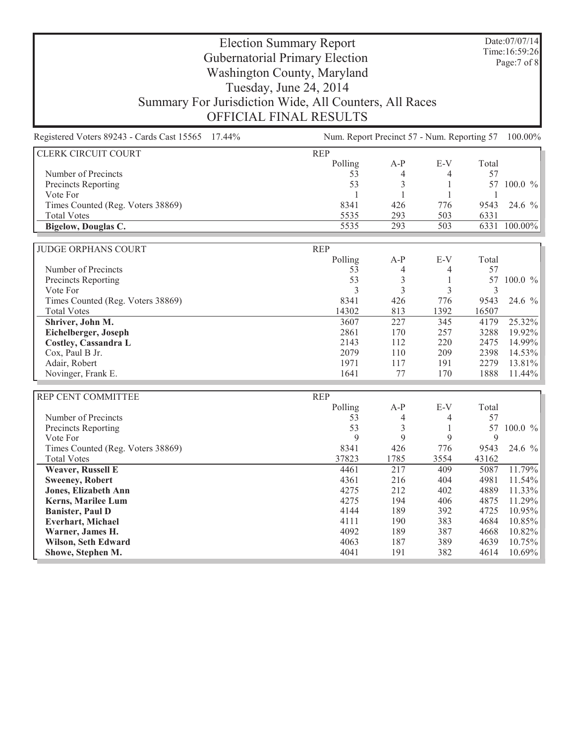Date:07/07/14 Time:16:59:26 Page:7 of 8

| Registered Voters 89243 - Cards Cast 15565 17.44% | Num. Report Precinct 57 - Num. Reporting 57 100.00% |                |              |              |              |  |
|---------------------------------------------------|-----------------------------------------------------|----------------|--------------|--------------|--------------|--|
| CLERK CIRCUIT COURT                               | <b>REP</b>                                          |                |              |              |              |  |
|                                                   | Polling                                             | $A-P$          | E-V          | Total        |              |  |
| Number of Precincts                               | 53                                                  | 4              | 4            | 57           |              |  |
| <b>Precincts Reporting</b>                        | 53                                                  | 3              | 1            | 57           | $100.0 \%$   |  |
| Vote For                                          | $\mathbf{1}$                                        | $\mathbf{1}$   | $\mathbf{1}$ | $\mathbf{1}$ |              |  |
| Times Counted (Reg. Voters 38869)                 | 8341                                                | 426            | 776          | 9543         | 24.6 %       |  |
| <b>Total Votes</b>                                | 5535                                                | 293            | 503          | 6331         |              |  |
| Bigelow, Douglas C.                               | 5535                                                | 293            | 503          |              | 6331 100.00% |  |
| <b>JUDGE ORPHANS COURT</b>                        | <b>REP</b>                                          |                |              |              |              |  |
|                                                   | Polling                                             | $A-P$          | E-V          | Total        |              |  |
| Number of Precincts                               | 53                                                  | 4              | 4            | 57           |              |  |
| Precincts Reporting                               | 53                                                  | $\mathfrak{Z}$ | $\mathbf{1}$ | 57           | 100.0 %      |  |
| Vote For                                          | 3                                                   | 3              | 3            | 3            |              |  |
| Times Counted (Reg. Voters 38869)                 | 8341                                                | 426            | 776          | 9543         | 24.6 %       |  |
| <b>Total Votes</b>                                | 14302                                               | 813            | 1392         | 16507        |              |  |
| Shriver, John M.                                  | 3607                                                | 227            | 345          | 4179         | 25.32%       |  |
| Eichelberger, Joseph                              | 2861                                                | 170            | 257          | 3288         | 19.92%       |  |
| Costley, Cassandra L                              | 2143                                                | 112            | 220          | 2475         | 14.99%       |  |
| Cox, Paul B Jr.                                   | 2079                                                | 110            | 209          | 2398         | 14.53%       |  |
| Adair, Robert                                     | 1971                                                | 117            | 191          | 2279         | 13.81%       |  |
| Novinger, Frank E.                                | 1641                                                | 77             | 170          | 1888         | 11.44%       |  |
|                                                   |                                                     |                |              |              |              |  |
| REP CENT COMMITTEE                                | <b>REP</b>                                          |                |              |              |              |  |
|                                                   | Polling                                             | $A-P$          | E-V          | Total        |              |  |
| Number of Precincts                               | 53                                                  | 4              | 4            | 57           |              |  |
| Precincts Reporting                               | 53                                                  | 3              | 1            | 57           | $100.0 \%$   |  |
| Vote For                                          | 9                                                   | 9              | 9            | 9            |              |  |
| Times Counted (Reg. Voters 38869)                 | 8341                                                | 426            | 776          | 9543         | 24.6 %       |  |
| <b>Total Votes</b>                                | 37823                                               | 1785           | 3554         | 43162        |              |  |
| <b>Weaver, Russell E</b>                          | 4461                                                | 217            | 409          | 5087         | 11.79%       |  |
| <b>Sweeney, Robert</b>                            | 4361                                                | 216            | 404          | 4981         | 11.54%       |  |
| <b>Jones, Elizabeth Ann</b>                       | 4275                                                | 212            | 402          | 4889         | 11.33%       |  |
| <b>Kerns, Marilee Lum</b>                         | 4275                                                | 194            | 406          | 4875         | 11.29%       |  |
| <b>Banister, Paul D</b>                           | 4144                                                | 189            | 392          | 4725         | 10.95%       |  |
| <b>Everhart, Michael</b>                          | 4111                                                | 190            | 383          | 4684         | 10.85%       |  |
| Warner, James H.                                  | 4092                                                | 189            | 387          | 4668         | 10.82%       |  |
| Wilson, Seth Edward                               | 4063                                                | 187            | 389          | 4639         | 10.75%       |  |
| Showe, Stephen M.                                 | 4041                                                | 191            | 382          | 4614         | 10.69%       |  |